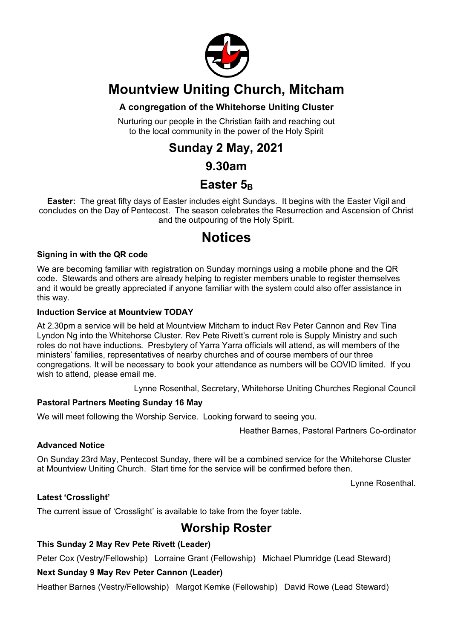

# **Mountview Uniting Church, Mitcham**

#### **A congregation of the Whitehorse Uniting Cluster**

Nurturing our people in the Christian faith and reaching out to the local community in the power of the Holy Spirit

# **Sunday 2 May, 2021**

### **9.30am**

## Easter 5<sub>B</sub>

**Easter:** The great fifty days of Easter includes eight Sundays. It begins with the Easter Vigil and concludes on the Day of Pentecost. The season celebrates the Resurrection and Ascension of Christ and the outpouring of the Holy Spirit.

# **Notices**

#### **Signing in with the QR code**

We are becoming familiar with registration on Sunday mornings using a mobile phone and the QR code. Stewards and others are already helping to register members unable to register themselves and it would be greatly appreciated if anyone familiar with the system could also offer assistance in this way.

#### **Induction Service at Mountview TODAY**

At 2.30pm a service will be held at Mountview Mitcham to induct Rev Peter Cannon and Rev Tina Lyndon Ng into the Whitehorse Cluster. Rev Pete Rivett's current role is Supply Ministry and such roles do not have inductions. Presbytery of Yarra Yarra officials will attend, as will members of the ministers' families, representatives of nearby churches and of course members of our three congregations. It will be necessary to book your attendance as numbers will be COVID limited. If you wish to attend, please email me.

Lynne Rosenthal, Secretary, Whitehorse Uniting Churches Regional Council

#### **Pastoral Partners Meeting Sunday 16 May**

We will meet following the Worship Service. Looking forward to seeing you.

Heather Barnes, Pastoral Partners Co-ordinator

#### **Advanced Notice**

On Sunday 23rd May, Pentecost Sunday, there will be a combined service for the Whitehorse Cluster at Mountview Uniting Church. Start time for the service will be confirmed before then.

Lynne Rosenthal.

#### **Latest 'Crosslight'**

The current issue of 'Crosslight' is available to take from the foyer table.

### **Worship Roster**

#### **This Sunday 2 May Rev Pete Rivett (Leader)**

Peter Cox (Vestry/Fellowship) Lorraine Grant (Fellowship) Michael Plumridge (Lead Steward)

#### **Next Sunday 9 May Rev Peter Cannon (Leader)**

Heather Barnes (Vestry/Fellowship) Margot Kemke (Fellowship) David Rowe (Lead Steward)